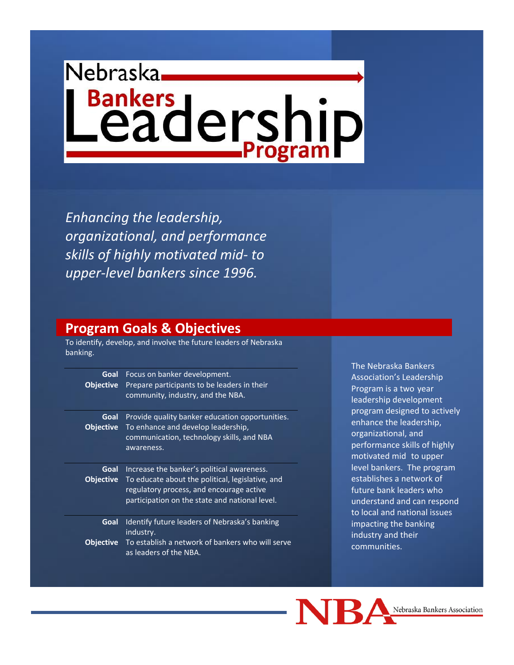# Nebraska, **Bankers**<br> **Leadership**

*Enhancing the leadership, organizational, and performance skills of highly motivated mid- to upper-level bankers since 1996.*

#### **Program Goals & Objectives**

To identify, develop, and involve the future leaders of Nebraska banking.

| Goal<br><b>Objective</b> | Focus on banker development.<br>Prepare participants to be leaders in their<br>community, industry, and the NBA.                                                                             |
|--------------------------|----------------------------------------------------------------------------------------------------------------------------------------------------------------------------------------------|
| Goal<br><b>Objective</b> | Provide quality banker education opportunities.<br>To enhance and develop leadership,<br>communication, technology skills, and NBA<br>awareness.                                             |
| Goal<br><b>Objective</b> | Increase the banker's political awareness.<br>To educate about the political, legislative, and<br>regulatory process, and encourage active<br>participation on the state and national level. |
| Goal<br><b>Objective</b> | Identify future leaders of Nebraska's banking<br>industry.<br>To establish a network of bankers who will serve<br>as leaders of the NBA.                                                     |

The Nebraska Bankers Association's Leadership Program is a two-year leadership development program designed to actively enhance the leadership, organizational, and performance skills of highly motivated mid- to upperlevel bankers. The program establishes a network of future bank leaders who understand and can respond to local and national issues impacting the banking industry and their communities.

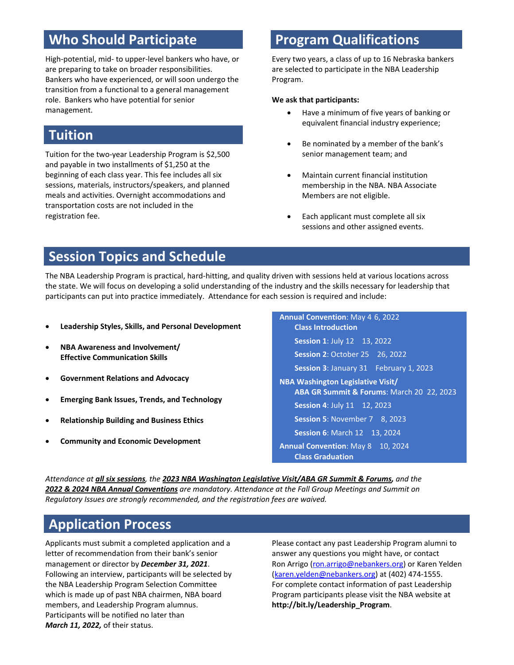## **Who Should Participate**

High-potential, mid- to upper-level bankers who have, or are preparing to take on broader responsibilities. Bankers who have experienced, or will soon undergo the transition from a functional to a general management role. Bankers who have potential for senior management.

### **Tuition**

Tuition for the two-year Leadership Program is \$2,500 and payable in two installments of \$1,250 at the beginning of each class year. This fee includes all six sessions, materials, instructors/speakers, and planned meals and activities. Overnight accommodations and transportation costs are not included in the registration fee.

## **Program Qualifications**

Every two years, a class of up to 16 Nebraska bankers are selected to participate in the NBA Leadership Program.

#### **We ask that participants:**

- Have a minimum of five years of banking or equivalent financial industry experience;
- Be nominated by a member of the bank's senior management team; and
- Maintain current financial institution membership in the NBA. NBA Associate Members are not eligible.
- Each applicant must complete all six sessions and other assigned events.

## **Session Topics and Schedule**

The NBA Leadership Program is practical, hard-hitting, and quality driven with sessions held at various locations across the state. We will focus on developing a solid understanding of the industry and the skills necessary for leadership that participants can put into practice immediately. Attendance for each session is required and include:

- **Leadership Styles, Skills, and Personal Development**
- **NBA Awareness and Involvement/ Effective Communication Skills**
- **Government Relations and Advocacy**
- **Emerging Bank Issues, Trends, and Technology**
- **Relationship Building and Business Ethics**
- **Community and Economic Development**

**Annual Convention**: May 4-6, 2022 **Class Introduction Session 1**: July 12 – 13, 2022 **Session 2**: October 25 – 26, 2022 **Session 3**: January 31 – February 1, 2023 **NBA Washington Legislative Visit/ ABA GR Summit & Forums**: March 20–22, 2023 **Session 4**: July 11 – 12, 2023 **Session 5**: November 7 – 8, 2023 **Session 6**: March 12 – 13, 2024 **Annual Convention**: May 8 – 10, 2024 **Class Graduation** 

*Attendance at all six sessions, the 2023 NBA Washington Legislative Visit/ABA GR Summit & Forums, and the 2022 & 2024 NBA Annual Conventions are mandatory. Attendance at the Fall Group Meetings and Summit on Regulatory Issues are strongly recommended, and the registration fees are waived.*

#### **Application Process**

Applicants must submit a completed application and a letter of recommendation from their bank's senior management or director by *December 31, 2021*. Following an interview, participants will be selected by the NBA Leadership Program Selection Committee which is made up of past NBA chairmen, NBA board members, and Leadership Program alumnus. Participants will be notified no later than *March 11, 2022,* of their status.

Please contact any past Leadership Program alumni to answer any questions you might have, or contact Ron Arrigo [\(ron.arrigo@nebankers.org\)](mailto:ron.arrigo@nebankers.org) or Karen Yelden [\(karen.yelden@nebankers.org\)](mailto:karen.yelden@nebankers.org) at (402) 474-1555. For complete contact information of past Leadership Program participants please visit the NBA website at **http://bit.ly/Leadership\_Program**.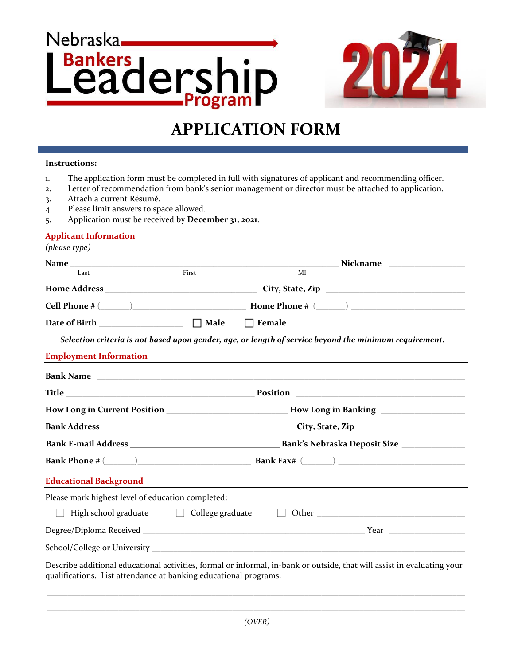# Nebraska. **Bankers** eadership Progra



## **APPLICATION FORM**

#### **Instructions:**

- 1. The application form must be completed in full with signatures of applicant and recommending officer.
- 2. Letter of recommendation from bank's senior management or director must be attached to application.
- 3. Attach a current Résumé.
- 4. Please limit answers to space allowed.
- 5. Application must be received by **December 31, 2021**.

#### **Applicant Information**

| (please type)                                                                                   |                                                                                                      |                                                                                                                                                                                             |  |  |
|-------------------------------------------------------------------------------------------------|------------------------------------------------------------------------------------------------------|---------------------------------------------------------------------------------------------------------------------------------------------------------------------------------------------|--|--|
|                                                                                                 |                                                                                                      |                                                                                                                                                                                             |  |  |
| Last                                                                                            | First                                                                                                | MI                                                                                                                                                                                          |  |  |
| $\label{thm:1} \textbf{Home Address} \textcolor{red}{\boldsymbol{\text{Home}}}\textbf{Address}$ | City, State, Zip                                                                                     |                                                                                                                                                                                             |  |  |
|                                                                                                 |                                                                                                      | $\textbf{Cell Phone} \; \texttt{\#} \; (\underline{\hspace{1cm}}) \; \underline{\hspace{1cm}} \textbf{Home Phone} \; \texttt{\#} \; (\underline{\hspace{1cm}}) \; \underline{\hspace{1cm}}$ |  |  |
|                                                                                                 |                                                                                                      |                                                                                                                                                                                             |  |  |
|                                                                                                 |                                                                                                      | Selection criteria is not based upon gender, age, or length of service beyond the minimum requirement.                                                                                      |  |  |
| <b>Employment Information</b>                                                                   |                                                                                                      | <u> 1989 - Johann Stoff, deutscher Stoff, der Stoff, der Stoff, der Stoff, der Stoff, der Stoff, der Stoff, der S</u>                                                                       |  |  |
|                                                                                                 |                                                                                                      |                                                                                                                                                                                             |  |  |
|                                                                                                 |                                                                                                      |                                                                                                                                                                                             |  |  |
|                                                                                                 | How Long in Current Position ___________________________How Long in Banking ________________________ |                                                                                                                                                                                             |  |  |
|                                                                                                 |                                                                                                      |                                                                                                                                                                                             |  |  |
|                                                                                                 |                                                                                                      |                                                                                                                                                                                             |  |  |
|                                                                                                 |                                                                                                      |                                                                                                                                                                                             |  |  |
| <b>Educational Background</b>                                                                   |                                                                                                      |                                                                                                                                                                                             |  |  |
| Please mark highest level of education completed:                                               |                                                                                                      |                                                                                                                                                                                             |  |  |
| High school graduate<br><b>College graduate</b>                                                 |                                                                                                      |                                                                                                                                                                                             |  |  |
|                                                                                                 |                                                                                                      |                                                                                                                                                                                             |  |  |
|                                                                                                 |                                                                                                      |                                                                                                                                                                                             |  |  |
| qualifications. List attendance at banking educational programs.                                |                                                                                                      | Describe additional educational activities, formal or informal, in-bank or outside, that will assist in evaluating your                                                                     |  |  |

 $\_$  , and the set of the set of the set of the set of the set of the set of the set of the set of the set of the set of the set of the set of the set of the set of the set of the set of the set of the set of the set of th